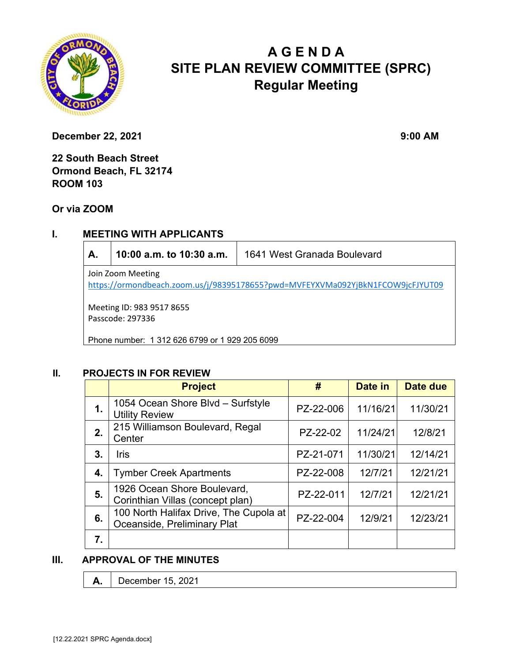

# **A G E N D A SITE PLAN REVIEW COMMITTEE (SPRC) Regular Meeting**

**December 22, 2021** 9:00 AM

**22 South Beach Street Ormond Beach, FL 32174 ROOM 103** 

**Or via ZOOM**

# **I. MEETING WITH APPLICANTS**

| А.                                                                                                  | 10:00 a.m. to 10:30 a.m. | 1641 West Granada Boulevard |  |  |  |
|-----------------------------------------------------------------------------------------------------|--------------------------|-----------------------------|--|--|--|
| Join Zoom Meeting<br>https://ormondbeach.zoom.us/j/98395178655?pwd=MVFEYXVMa092YjBkN1FCOW9jcFJYUT09 |                          |                             |  |  |  |
| Meeting ID: 983 9517 8655                                                                           |                          |                             |  |  |  |
| Passcode: 297336                                                                                    |                          |                             |  |  |  |
| Phone number: 1 312 626 6799 or 1 929 205 6099                                                      |                          |                             |  |  |  |

### **II. PROJECTS IN FOR REVIEW**

|    | <b>Project</b>                                                        | #         | Date in  | <b>Date due</b> |
|----|-----------------------------------------------------------------------|-----------|----------|-----------------|
| 1. | 1054 Ocean Shore Blvd - Surfstyle<br><b>Utility Review</b>            | PZ-22-006 | 11/16/21 | 11/30/21        |
| 2. | 215 Williamson Boulevard, Regal<br>Center                             | PZ-22-02  | 11/24/21 | 12/8/21         |
| 3. | Iris                                                                  | PZ-21-071 | 11/30/21 | 12/14/21        |
| 4. | <b>Tymber Creek Apartments</b>                                        | PZ-22-008 | 12/7/21  | 12/21/21        |
| 5. | 1926 Ocean Shore Boulevard,<br>Corinthian Villas (concept plan)       | PZ-22-011 | 12/7/21  | 12/21/21        |
| 6. | 100 North Halifax Drive, The Cupola at<br>Oceanside, Preliminary Plat | PZ-22-004 | 12/9/21  | 12/23/21        |
| 7. |                                                                       |           |          |                 |

## **III. APPROVAL OF THE MINUTES**

**A.** December 15, 2021